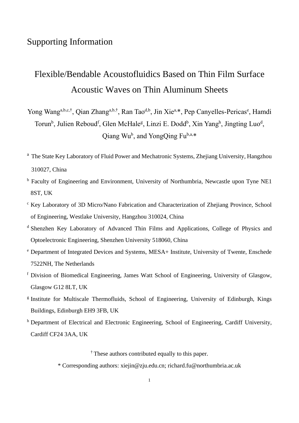## Supporting Information

# Flexible/Bendable Acoustofluidics Based on Thin Film Surface Acoustic Waves on Thin Aluminum Sheets

Yong Wang<sup>a,b,c,†</sup>, Qian Zhang<sup>a,b,†</sup>, Ran Tao<sup>d,b</sup>, Jin Xie<sup>a,\*</sup>, Pep Canyelles-Pericas<sup>e</sup>, Hamdi Torun<sup>b</sup>, Julien Reboud<sup>f</sup>, Glen McHale<sup>g</sup>, Linzi E. Dodd<sup>b</sup>, Xin Yangh, Jingting Luo<sup>d</sup>, Qiang Wu<sup>b</sup>, and YongQing Fu<sup>b,a,\*</sup>

- <sup>a</sup> The State Key Laboratory of Fluid Power and Mechatronic Systems, Zhejiang University, Hangzhou 310027, China
- <sup>b</sup> Faculty of Engineering and Environment, University of Northumbria, Newcastle upon Tyne NE1 8ST, UK
- <sup>c</sup> Key Laboratory of 3D Micro/Nano Fabrication and Characterization of Zhejiang Province, School of Engineering, Westlake University, Hangzhou 310024, China
- <sup>d</sup> Shenzhen Key Laboratory of Advanced Thin Films and Applications, College of Physics and Optoelectronic Engineering, Shenzhen University 518060, China
- <sup>e</sup> Department of Integrated Devices and Systems, MESA+ Institute, University of Twente, Enschede 7522NH, The Netherlands
- <sup>f</sup> Division of Biomedical Engineering, James Watt School of Engineering, University of Glasgow, Glasgow G12 8LT, UK
- <sup>g</sup> Institute for Multiscale Thermofluids, School of Engineering, University of Edinburgh, Kings Buildings, Edinburgh EH9 3FB, UK
- <sup>h</sup> Department of Electrical and Electronic Engineering, School of Engineering, Cardiff University, Cardiff CF24 3AA, UK

† These authors contributed equally to this paper.

\* Corresponding authors: xiejin@zju.edu.cn; richard.fu@northumbria.ac.uk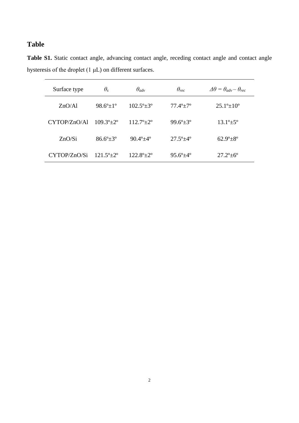## **Table**

**Table S1.** Static contact angle, advancing contact angle, receding contact angle and contact angle hysteresis of the droplet (1 μL) on different surfaces.

| Surface type | $\theta_s$                     | $\theta_{adv}$             | $\theta_{rec}$               | $\Delta\theta = \theta_{adv} - \theta_{rec}$ |  |
|--------------|--------------------------------|----------------------------|------------------------------|----------------------------------------------|--|
| ZnO/A1       | $98.6^{\circ}$ $\pm 1^{\circ}$ | $102.5^{\circ}$ $\pm$ 3°   | $77.4^{\circ}$ + $7^{\circ}$ | $25.1^{\circ}$ $\pm 10^{\circ}$              |  |
| CYTOP/ZnO/Al | $109.3^{\circ}$ $\pm$ 2°       | $112.7^{\circ}$ $\pm$ 2°   | $99.6^{\circ}$ $\pm$ 3°      | $13.1^{\circ}$ $\pm$ 5°                      |  |
| ZnO/Si       | $86.6^{\circ}$ $\pm$ 3°        | $90.4^{\circ} + 4^{\circ}$ | $27.5^{\circ}$ $\pm$ 4°      | $62.9^{\circ}$ + $8^{\circ}$                 |  |
| CYTOP/ZnO/Si | $121.5^{\circ}$ $\pm$ 2°       | $122.8^{\circ}$ $\pm$ 2°   | $95.6^{\circ}$ ±4 $^{\circ}$ | $27.2^{\circ} \pm 6^{\circ}$                 |  |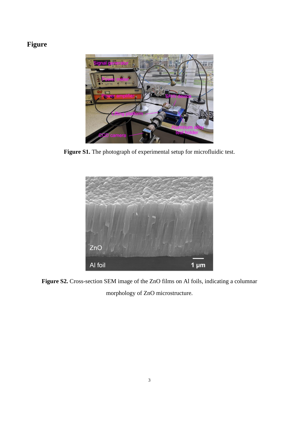# **Figure**



**Figure S1.** The photograph of experimental setup for microfluidic test.



**Figure S2.** Cross-section SEM image of the ZnO films on Al foils, indicating a columnar morphology of ZnO microstructure.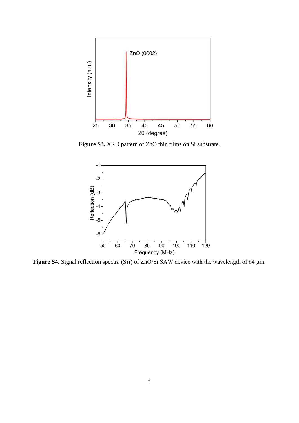

**Figure S3.** XRD pattern of ZnO thin films on Si substrate.



Figure S4. Signal reflection spectra (S<sub>11</sub>) of ZnO/Si SAW device with the wavelength of 64 μm.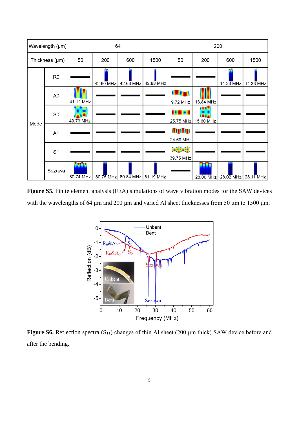| Wavelength (µm) |                | 64                |             |             |           | 200                         |           |             |             |
|-----------------|----------------|-------------------|-------------|-------------|-----------|-----------------------------|-----------|-------------|-------------|
| Thickness (µm)  |                | 50                | 200         | 600         | 1500      | 50                          | 200       | 600         | 1500        |
| Mode            | R <sub>0</sub> |                   | 42.60 MHz   | $42.63$ MHz | 42.88 MHz |                             |           | $14.33$ MHz | $14.33$ MHz |
|                 | A <sub>0</sub> | 41.12 MHz         |             |             |           | 101<br>9.72 MHz             | 13.84 MHz |             |             |
|                 | S <sub>0</sub> | 49.73 MHz         |             |             |           | 25.75 MHz                   | 15.60 MHz |             |             |
|                 | A <sub>1</sub> |                   |             |             |           | <b>LITLITI</b><br>24.69 MHz |           |             |             |
|                 | S <sub>1</sub> |                   |             |             |           | 医肌肉<br>39.75 MHz            |           |             |             |
|                 | Sezawa         | vovo<br>80.74 MHz | $80.75$ MHz | $80.84$ MHz | 81.19 MHz |                             | 28.00 MHz | $28.02$ MHz | $28.11$ MHz |

**Figure S5.** Finite element analysis (FEA) simulations of wave vibration modes for the SAW devices with the wavelengths of 64 μm and 200 μm and varied Al sheet thicknesses from 50 μm to 1500 μm.



**Figure S6.** Reflection spectra (S11) changes of thin Al sheet (200 μm thick) SAW device before and after the bending.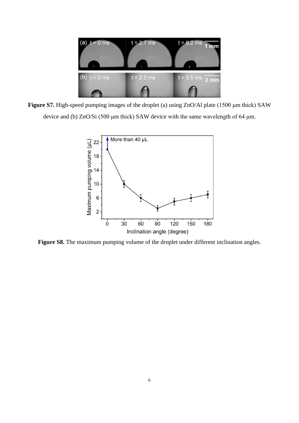

**Figure S7.** High-speed pumping images of the droplet (a) using ZnO/Al plate (1500 μm thick) SAW device and (b) ZnO/Si (500 μm thick) SAW device with the same wavelength of 64 μm.



Figure S8. The maximum pumping volume of the droplet under different inclination angles.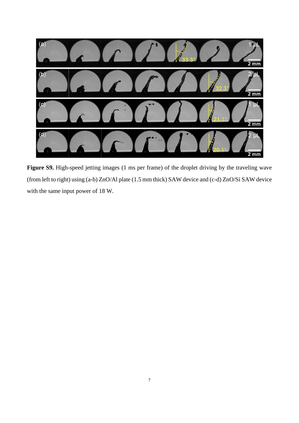

**Figure S9.** High-speed jetting images (1 ms per frame) of the droplet driving by the traveling wave (from left to right) using (a-b) ZnO/Al plate (1.5 mm thick) SAW device and (c-d) ZnO/Si SAW device with the same input power of 18 W.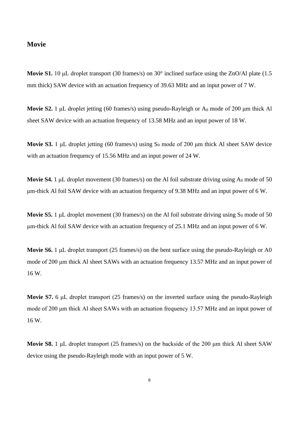### **Movie**

**Movie S1.** 10 μL droplet transport (30 frames/s) on 30° inclined surface using the ZnO/Al plate (1.5 mm thick) SAW device with an actuation frequency of 39.63 MHz and an input power of 7 W.

**Movie S2.** 1 μL droplet jetting (60 frames/s) using pseudo-Rayleigh or A<sub>0</sub> mode of 200 μm thick Al sheet SAW device with an actuation frequency of 13.58 MHz and an input power of 18 W.

**Movie S3.** 1 μL droplet jetting (60 frames/s) using S<sub>0</sub> mode of 200 μm thick Al sheet SAW device with an actuation frequency of 15.56 MHz and an input power of 24 W.

**Movie S4.** 1  $\mu$ L droplet movement (30 frames/s) on the Al foil substrate driving using  $A_0$  mode of 50 μm-thick Al foil SAW device with an actuation frequency of 9.38 MHz and an input power of 6 W.

**Movie S5.** 1  $\mu$ L droplet movement (30 frames/s) on the Al foil substrate driving using  $S_0$  mode of 50 μm-thick Al foil SAW device with an actuation frequency of 25.1 MHz and an input power of 6 W.

**Movie S6.** 1 μL droplet transport (25 frames/s) on the bent surface using the pseudo-Rayleigh or A0 mode of 200 μm thick Al sheet SAWs with an actuation frequency 13.57 MHz and an input power of 16 W.

**Movie S7.** 6 μL droplet transport (25 frames/s) on the inverted surface using the pseudo-Rayleigh mode of 200 μm thick Al sheet SAWs with an actuation frequency 13.57 MHz and an input power of 16 W.

**Movie S8.** 1 μL droplet transport (25 frames/s) on the backside of the 200 μm thick Al sheet SAW device using the pseudo-Rayleigh mode with an input power of 5 W.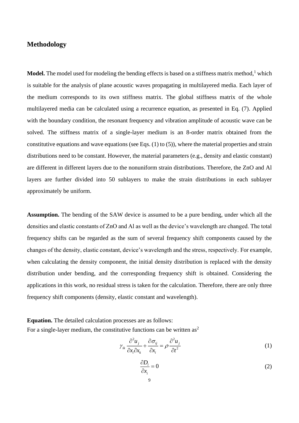### **Methodology**

**Model.** The model used for modeling the bending effects is based on a stiffness matrix method, $1$  which is suitable for the analysis of plane acoustic waves propagating in multilayered media. Each layer of the medium corresponds to its own stiffness matrix. The global stiffness matrix of the whole multilayered media can be calculated using a recurrence equation, as presented in Eq. (7). Applied with the boundary condition, the resonant frequency and vibration amplitude of acoustic wave can be solved. The stiffness matrix of a single-layer medium is an 8-order matrix obtained from the constitutive equations and wave equations (see Eqs. (1) to (5)), where the material properties and strain distributions need to be constant. However, the material parameters (e.g., density and elastic constant) are different in different layers due to the nonuniform strain distributions. Therefore, the ZnO and Al layers are further divided into 50 sublayers to make the strain distributions in each sublayer approximately be uniform.

**Assumption.** The bending of the SAW device is assumed to be a pure bending, under which all the densities and elastic constants of ZnO and Al as well as the device's wavelength are changed. The total frequency shifts can be regarded as the sum of several frequency shift components caused by the changes of the density, elastic constant, device's wavelength and the stress, respectively. For example, when calculating the density component, the initial density distribution is replaced with the density distribution under bending, and the corresponding frequency shift is obtained. Considering the applications in this work, no residual stress is taken for the calculation. Therefore, there are only three frequency shift components (density, elastic constant and wavelength).

**Equation.** The detailed calculation processes are as follows: For a single-layer medium, the constitutive functions can be written as<sup>2</sup>

$$
\gamma_{ik} \frac{\partial^2 u_j}{\partial x_i \partial x_k} + \frac{\partial \sigma_{ij}}{\partial x_i} = \rho \frac{\partial^2 u_j}{\partial t^2}
$$
 (1)

$$
\frac{\partial D_i}{\partial x_i} = 0 \tag{2}
$$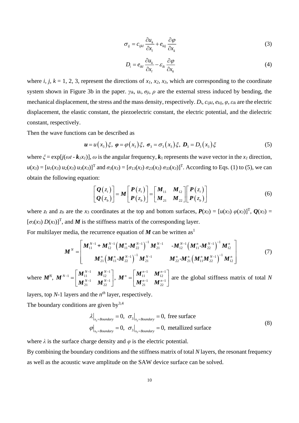$$
\sigma_{ij} = c_{ijkl} \frac{\partial u_k}{\partial x_l} + e_{kij} \frac{\partial \varphi}{\partial x_k}
$$
 (3)

$$
D_i = e_{ikl} \frac{\partial u_k}{\partial x_l} - \varepsilon_{ik} \frac{\partial \varphi}{\partial x_k}
$$
 (4)

where *i, j, k* = 1, 2, 3, represent the directions of  $x_1$ ,  $x_2$ ,  $x_3$ , which are corresponding to the coordinate system shown in Figure 3b in the paper.  $\gamma_{ik}$ ,  $u_i$ ,  $\sigma_{ii}$ ,  $\rho$  are the external stress induced by bending, the mechanical displacement, the stress and the mass density, respectively.  $D_i$ ,  $c_{iikl}$ ,  $e_{kii}$ ,  $\varphi$ ,  $\varepsilon_{ik}$  are the electric displacement, the elastic constant, the piezoelectric constant, the electric potential, and the dielectric constant, respectively.

Then the wave functions can be described as

$$
\mathbf{u} = u(x_3)\xi, \; \boldsymbol{\varphi} = \varphi(x_3)\xi, \; \boldsymbol{\sigma}_3 = \boldsymbol{\sigma}_3(x_3)\xi, \; \boldsymbol{D}_3 = D_3(x_3)\xi \tag{5}
$$

where  $\zeta = \exp[i(\omega t - k_1 x_I)]$ ,  $\omega$  is the angular frequency,  $k_1$  represents the wave vector in the  $x_I$  direction,  $u(x_3) = [u_1(x_3) u_2(x_3) u_3(x_3)]^T$  and  $\sigma_3(x_3) = [\sigma_{13}(x_3) \sigma_{23}(x_3) \sigma_{33}(x_3)]^T$ . According to Eqs. (1) to (5), we can obtain the following equation:

on:  
\n
$$
\begin{bmatrix}\n\mathbf{Q}(z_t) \\
\mathbf{Q}(z_b)\n\end{bmatrix} = \mathbf{M} \begin{bmatrix}\n\mathbf{P}(z_t) \\
\mathbf{P}(z_b)\n\end{bmatrix} = \begin{bmatrix}\n\mathbf{M}_{11} & \mathbf{M}_{12} \\
\mathbf{M}_{21} & \mathbf{M}_{22}\n\end{bmatrix} \begin{bmatrix}\n\mathbf{P}(z_t) \\
\mathbf{P}(z_b)\n\end{bmatrix}
$$
\n(6)

(7)

where  $z_t$  and  $z_b$  are the  $x_3$  coordinates at the top and bottom surfaces,  $P(x_3) = [u(x_3) \varphi(x_3)]^T$ ,  $Q(x_3) =$  $[\sigma_3(x_3) D(x_3)]^T$ , and *M* is the stiffness matrix of the corresponding layer. For multilayer media, the recurrence equation of  $M$  can be written as<sup>1</sup>

( ) ( ) ( ) ( ) <sup>1</sup> <sup>1</sup> <sup>1</sup> <sup>1</sup> <sup>1</sup> <sup>1</sup> <sup>1</sup> <sup>1</sup> <sup>1</sup> <sup>1</sup> <sup>1</sup> <sup>1</sup> 1 11 12 11 22 21 12 11 22 12 21 11 22 21 22 21 11 22 12 - - *<sup>n</sup> <sup>n</sup> N N <sup>n</sup> <sup>n</sup> <sup>n</sup> N <sup>n</sup>* − <sup>−</sup> − <sup>−</sup> <sup>−</sup> - - - *N N <sup>n</sup> N N N <sup>n</sup> N <sup>n</sup> N* <sup>−</sup> <sup>−</sup> <sup>−</sup> <sup>−</sup> <sup>−</sup> <sup>=</sup> *M M M M M M M M M M + M M M M M M M M M*

where *M<sup>N</sup>* , 1  $\mathbf{1} \mathbf{M} N-1$  $1 + 17 - 11$   $12$  $1 \qquad \bullet N-1$ 21  $\cdots$  22  $N-1$  **A**  $\boldsymbol{\pi} N$ *N*  $N-1$  **n**  $\boldsymbol{\pi} N$  $\mathbf{M}_{11}^{N-1}$   $\mathbf{M}_{12}^{N-1}$  $= \begin{bmatrix} \bm{M}_{11}^{{N-1}} & \bm{M}_{12}^{{N-1}} \ \bm{M}_{21}^{{N-1}} & \bm{M}_{22}^{{N-1}} \end{bmatrix}$ *M*  $\left\{\mathbf{M}_{21}^{N-1}\ \left\{\mathbf{M}_{22}^{N-1}\right\}\right\},$  $1 \t M^{n-1}$ 11  $M_{12}$  $1 \frac{1}{1}$   $M^{n-1}$ 21  $M_{22}$  $\bm{M}^{n} = \begin{bmatrix} \bm{M}^{n-1}_{11} & \bm{M}^{n}_{12} \\ \bm{M}^{n-1} & \bm{M}^{n} \end{bmatrix}$  $-1$   $\boldsymbol{M}^{n-1}$  $-1$  **M** $n-1$  $\begin{bmatrix} \boldsymbol{M}^{n-1} & \boldsymbol{M}^{n-1} \\ 1 & 1 \end{bmatrix}$  $=\begin{bmatrix} M_{11} & M_{12} \\ M_{21}^{n-1} & M_{22}^{n-1} \end{bmatrix}$  and  $\boldsymbol{M}^n = \begin{bmatrix} \boldsymbol{M}_{11}^{n-1} & \boldsymbol{M}_{12}^{n-1} \\ \boldsymbol{M}_{21}^{n-1} & \boldsymbol{M}_{22}^{n-1} \end{bmatrix}$  are the global stiffness matrix of total *N* 

layers, top *N*-1 layers and the *n th* layer, respectively.

The boundary conditions are given  $by<sup>3,4</sup>$ 

$$
\lambda \big|_{x_3 = Boundary} = 0, \sigma_3 \big|_{x_3 = Boundary} = 0, \text{ free surface}
$$
\n
$$
\varphi \big|_{x_3 = Boundary} = 0, \sigma_3 \big|_{x_3 = Boundary} = 0, \text{ metallized surface}
$$
\n(8)

where  $\lambda$  is the surface charge density and  $\varphi$  is the electric potential.

By combining the boundary conditions and the stiffness matrix of total *N* layers, the resonant frequency as well as the acoustic wave amplitude on the SAW device surface can be solved.